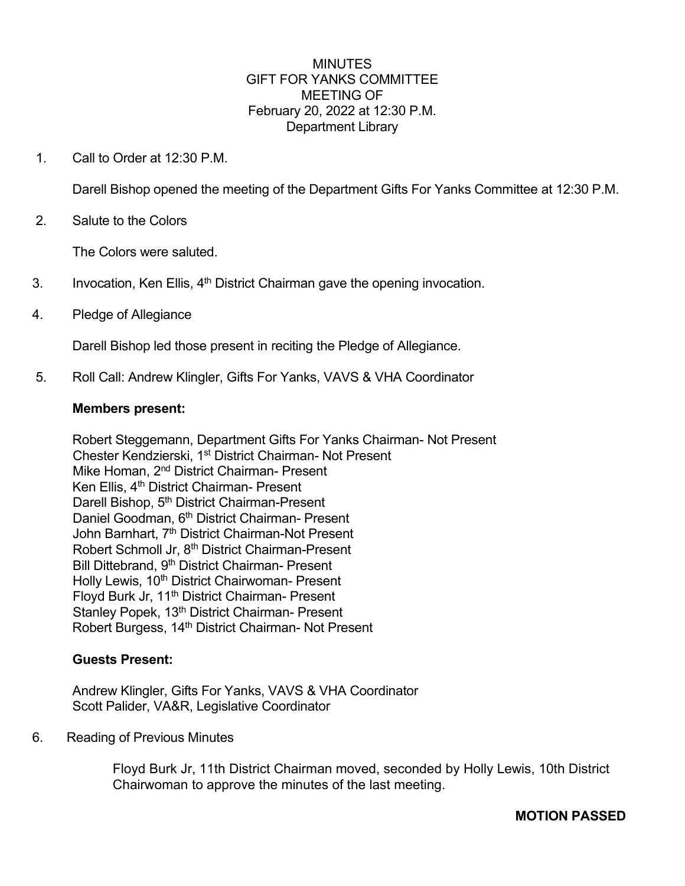## **MINUTES** GIFT FOR YANKS COMMITTEE MEETING OF February 20, 2022 at 12:30 P.M. Department Library

1. Call to Order at 12:30 P.M.

Darell Bishop opened the meeting of the Department Gifts For Yanks Committee at 12:30 P.M.

2. Salute to the Colors

The Colors were saluted.

- 3. Invocation, Ken Ellis,  $4<sup>th</sup>$  District Chairman gave the opening invocation.
- 4. Pledge of Allegiance

Darell Bishop led those present in reciting the Pledge of Allegiance.

5. Roll Call: Andrew Klingler, Gifts For Yanks, VAVS & VHA Coordinator

### **Members present:**

Robert Steggemann, Department Gifts For Yanks Chairman- Not Present Chester Kendzierski, 1<sup>st</sup> District Chairman- Not Present Mike Homan, 2<sup>nd</sup> District Chairman- Present Ken Ellis, 4<sup>th</sup> District Chairman- Present Darell Bishop, 5<sup>th</sup> District Chairman-Present Daniel Goodman, 6th District Chairman- Present John Barnhart, 7<sup>th</sup> District Chairman-Not Present Robert Schmoll Jr, 8th District Chairman-Present Bill Dittebrand, 9<sup>th</sup> District Chairman- Present Holly Lewis, 10<sup>th</sup> District Chairwoman- Present Floyd Burk Jr, 11th District Chairman- Present Stanley Popek, 13<sup>th</sup> District Chairman- Present Robert Burgess, 14<sup>th</sup> District Chairman- Not Present

### **Guests Present:**

Andrew Klingler, Gifts For Yanks, VAVS & VHA Coordinator Scott Palider, VA&R, Legislative Coordinator

### 6. Reading of Previous Minutes

Floyd Burk Jr, 11th District Chairman moved, seconded by Holly Lewis, 10th District Chairwoman to approve the minutes of the last meeting.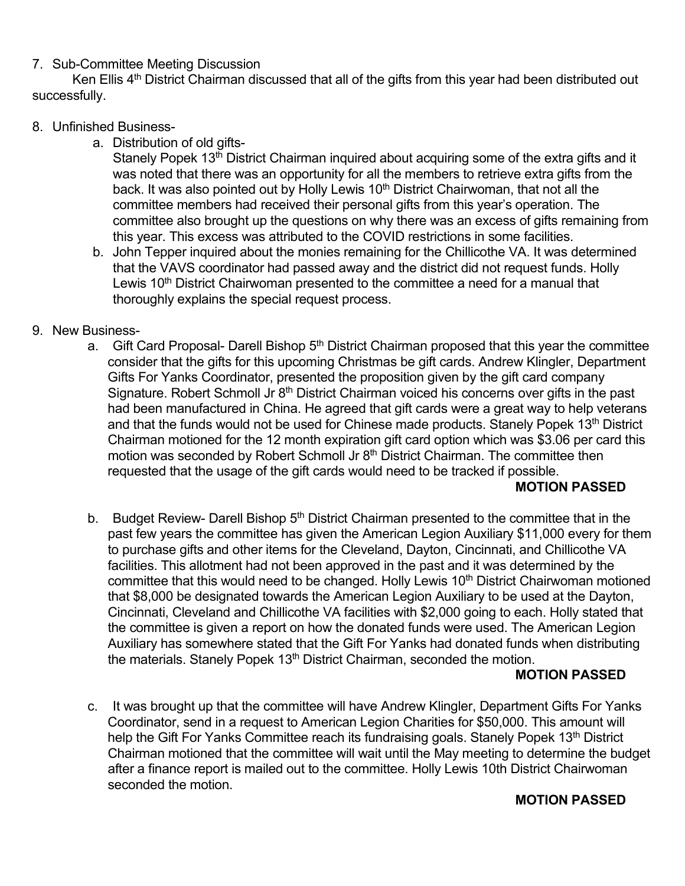# 7. Sub-Committee Meeting Discussion

Ken Ellis 4th District Chairman discussed that all of the gifts from this year had been distributed out successfully.

## 8. Unfinished Business-

a. Distribution of old gifts-

Stanely Popek 13<sup>th</sup> District Chairman inquired about acquiring some of the extra gifts and it was noted that there was an opportunity for all the members to retrieve extra gifts from the back. It was also pointed out by Holly Lewis 10<sup>th</sup> District Chairwoman, that not all the committee members had received their personal gifts from this year's operation. The committee also brought up the questions on why there was an excess of gifts remaining from this year. This excess was attributed to the COVID restrictions in some facilities.

b. John Tepper inquired about the monies remaining for the Chillicothe VA. It was determined that the VAVS coordinator had passed away and the district did not request funds. Holly Lewis  $10<sup>th</sup>$  District Chairwoman presented to the committee a need for a manual that thoroughly explains the special request process.

## 9. New Business-

a. Gift Card Proposal- Darell Bishop 5<sup>th</sup> District Chairman proposed that this year the committee consider that the gifts for this upcoming Christmas be gift cards. Andrew Klingler, Department Gifts For Yanks Coordinator, presented the proposition given by the gift card company Signature. Robert Schmoll Jr 8<sup>th</sup> District Chairman voiced his concerns over gifts in the past had been manufactured in China. He agreed that gift cards were a great way to help veterans and that the funds would not be used for Chinese made products. Stanely Popek 13<sup>th</sup> District Chairman motioned for the 12 month expiration gift card option which was \$3.06 per card this motion was seconded by Robert Schmoll Jr 8<sup>th</sup> District Chairman. The committee then requested that the usage of the gift cards would need to be tracked if possible.

## **MOTION PASSED**

b. Budget Review- Darell Bishop  $5<sup>th</sup>$  District Chairman presented to the committee that in the past few years the committee has given the American Legion Auxiliary \$11,000 every for them to purchase gifts and other items for the Cleveland, Dayton, Cincinnati, and Chillicothe VA facilities. This allotment had not been approved in the past and it was determined by the committee that this would need to be changed. Holly Lewis 10<sup>th</sup> District Chairwoman motioned that \$8,000 be designated towards the American Legion Auxiliary to be used at the Dayton, Cincinnati, Cleveland and Chillicothe VA facilities with \$2,000 going to each. Holly stated that the committee is given a report on how the donated funds were used. The American Legion Auxiliary has somewhere stated that the Gift For Yanks had donated funds when distributing the materials. Stanely Popek 13<sup>th</sup> District Chairman, seconded the motion.

### **MOTION PASSED**

c. It was brought up that the committee will have Andrew Klingler, Department Gifts For Yanks Coordinator, send in a request to American Legion Charities for \$50,000. This amount will help the Gift For Yanks Committee reach its fundraising goals. Stanely Popek 13<sup>th</sup> District Chairman motioned that the committee will wait until the May meeting to determine the budget after a finance report is mailed out to the committee. Holly Lewis 10th District Chairwoman seconded the motion.

## **MOTION PASSED**